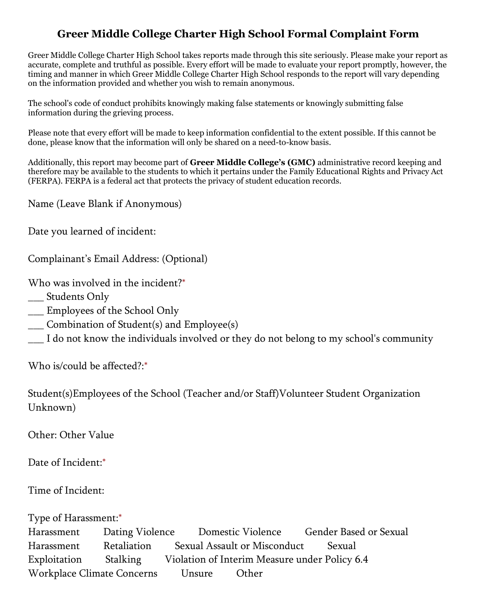## Greer Middle College Charter High School Formal Complaint Form

Greer Middle College Charter High School takes reports made through this site seriously. Please make your report as accurate, complete and truthful as possible. Every effort will be made to evaluate your report promptly, however, the timing and manner in which Greer Middle College Charter High School responds to the report will vary depending on the information provided and whether you wish to remain anonymous.

The school's code of conduct prohibits knowingly making false statements or knowingly submitting false information during the grieving process.

Please note that every effort will be made to keep information confidential to the extent possible. If this cannot be done, please know that the information will only be shared on a need-to-know basis.

Additionally, this report may become part of Greer Middle College's (GMC) administrative record keeping and therefore may be available to the students to which it pertains under the Family Educational Rights and Privacy Act (FERPA). FERPA is a federal act that protects the privacy of student education records.

Name (Leave Blank if Anonymous)

Date you learned of incident:

Complainant's Email Address: (Optional)

Who was involved in the incident?\*

- \_\_\_ Students Only
- \_\_\_ Employees of the School Only
- \_\_\_ Combination of Student(s) and Employee(s)
- I do not know the individuals involved or they do not belong to my school's community

Who is/could be affected?:\*

Student(s)Employees of the School (Teacher and/or Staff)Volunteer Student Organization Unknown)

Other: Other Value

Date of Incident:\*

Time of Incident:

Type of Harassment:\*

Harassment Dating Violence Domestic Violence Gender Based or Sexual Harassment Retaliation Sexual Assault or Misconduct Sexual Exploitation Stalking Violation of Interim Measure under Policy 6.4 Workplace Climate Concerns Unsure Other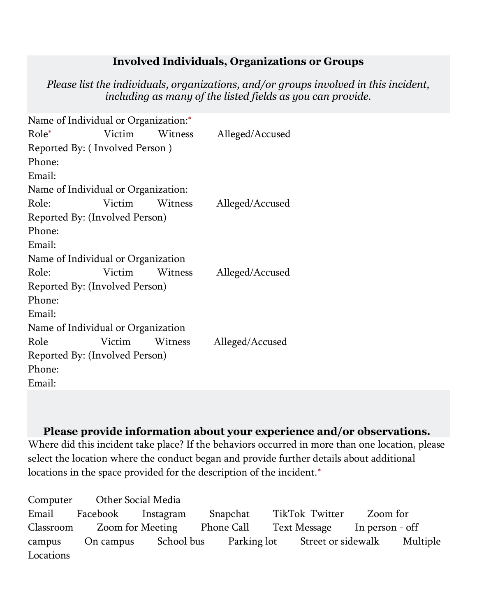## Involved Individuals, Organizations or Groups

Please list the individuals, organizations, and/or groups involved in this incident, including as many of the listed fields as you can provide.

| Name of Individual or Organization:* |        |         |                 |
|--------------------------------------|--------|---------|-----------------|
| Role*                                | Victim | Witness | Alleged/Accused |
| Reported By: (Involved Person)       |        |         |                 |
| Phone:                               |        |         |                 |
| Email:                               |        |         |                 |
| Name of Individual or Organization:  |        |         |                 |
| Role:                                | Victim | Witness | Alleged/Accused |
| Reported By: (Involved Person)       |        |         |                 |
| Phone:                               |        |         |                 |
| Email:                               |        |         |                 |
| Name of Individual or Organization   |        |         |                 |
| Role:                                | Victim | Witness | Alleged/Accused |
| Reported By: (Involved Person)       |        |         |                 |
| Phone:                               |        |         |                 |
| Email:                               |        |         |                 |
| Name of Individual or Organization   |        |         |                 |
| Role                                 | Victim | Witness | Alleged/Accused |
| Reported By: (Involved Person)       |        |         |                 |
| Phone:                               |        |         |                 |
| Email:                               |        |         |                 |

## Please provide information about your experience and/or observations.

Where did this incident take place? If the behaviors occurred in more than one location, please select the location where the conduct began and provide further details about additional locations in the space provided for the description of the incident.\*

Computer Other Social Media Email Facebook Instagram Snapchat TikTok Twitter Zoom for Classroom Zoom for Meeting Phone Call Text Message In person - off campus On campus School bus Parking lot Street or sidewalk Multiple Locations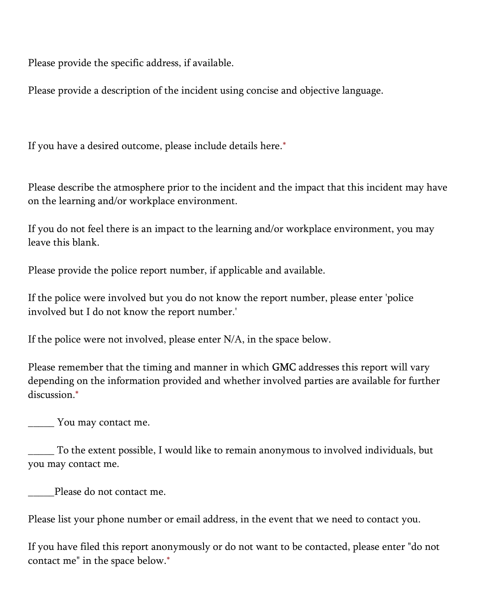Please provide the specific address, if available.

Please provide a description of the incident using concise and objective language.

If you have a desired outcome, please include details here.\*

Please describe the atmosphere prior to the incident and the impact that this incident may have on the learning and/or workplace environment.

If you do not feel there is an impact to the learning and/or workplace environment, you may leave this blank.

Please provide the police report number, if applicable and available.

If the police were involved but you do not know the report number, please enter 'police involved but I do not know the report number.'

If the police were not involved, please enter N/A, in the space below.

Please remember that the timing and manner in which **GMC** addresses this report will vary depending on the information provided and whether involved parties are available for further discussion.\*

\_\_\_\_\_ You may contact me.

\_\_\_\_\_ To the extent possible, I would like to remain anonymous to involved individuals, but you may contact me.

Please do not contact me.

Please list your phone number or email address, in the event that we need to contact you.

If you have filed this report anonymously or do not want to be contacted, please enter "do not contact me" in the space below.\*